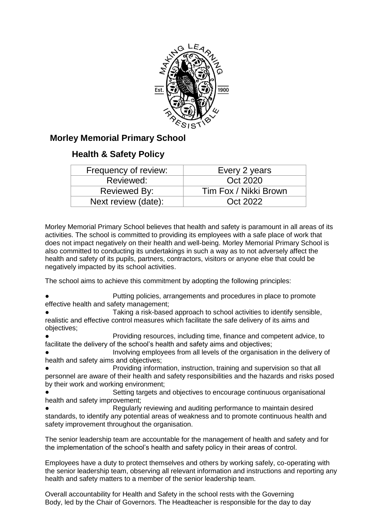

# **Morley Memorial Primary School**

# **Health & Safety Policy**

| Frequency of review: | Every 2 years         |
|----------------------|-----------------------|
| Reviewed:            | Oct 2020              |
| Reviewed By:         | Tim Fox / Nikki Brown |
| Next review (date):  | Oct 2022              |

Morley Memorial Primary School believes that health and safety is paramount in all areas of its activities. The school is committed to providing its employees with a safe place of work that does not impact negatively on their health and well-being. Morley Memorial Primary School is also committed to conducting its undertakings in such a way as to not adversely affect the health and safety of its pupils, partners, contractors, visitors or anyone else that could be negatively impacted by its school activities.

The school aims to achieve this commitment by adopting the following principles:

Putting policies, arrangements and procedures in place to promote effective health and safety management;

Taking a risk-based approach to school activities to identify sensible, realistic and effective control measures which facilitate the safe delivery of its aims and objectives;

Providing resources, including time, finance and competent advice, to facilitate the delivery of the school's health and safety aims and objectives;

Involving employees from all levels of the organisation in the delivery of health and safety aims and objectives;

Providing information, instruction, training and supervision so that all personnel are aware of their health and safety responsibilities and the hazards and risks posed by their work and working environment;

Setting targets and objectives to encourage continuous organisational health and safety improvement;

Regularly reviewing and auditing performance to maintain desired standards, to identify any potential areas of weakness and to promote continuous health and safety improvement throughout the organisation.

The senior leadership team are accountable for the management of health and safety and for the implementation of the school's health and safety policy in their areas of control.

Employees have a duty to protect themselves and others by working safely, co-operating with the senior leadership team, observing all relevant information and instructions and reporting any health and safety matters to a member of the senior leadership team.

Overall accountability for Health and Safety in the school rests with the Governing Body, led by the Chair of Governors. The Headteacher is responsible for the day to day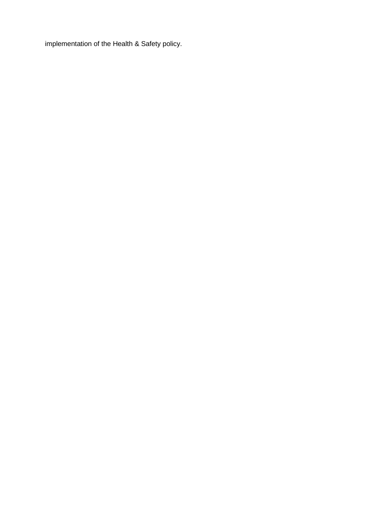implementation of the Health & Safety policy.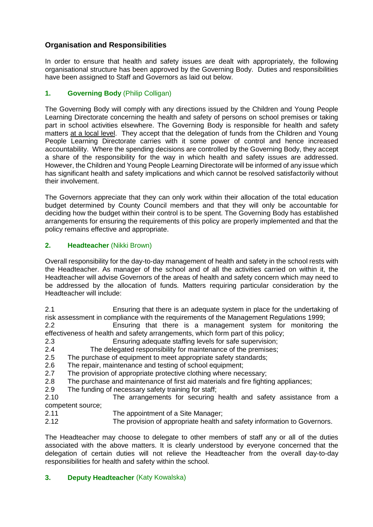# **Organisation and Responsibilities**

In order to ensure that health and safety issues are dealt with appropriately, the following organisational structure has been approved by the Governing Body. Duties and responsibilities have been assigned to Staff and Governors as laid out below.

# **1. Governing Body** (Philip Colligan)

The Governing Body will comply with any directions issued by the Children and Young People Learning Directorate concerning the health and safety of persons on school premises or taking part in school activities elsewhere. The Governing Body is responsible for health and safety matters at a local level. They accept that the delegation of funds from the Children and Young People Learning Directorate carries with it some power of control and hence increased accountability. Where the spending decisions are controlled by the Governing Body, they accept a share of the responsibility for the way in which health and safety issues are addressed. However, the Children and Young People Learning Directorate will be informed of any issue which has significant health and safety implications and which cannot be resolved satisfactorily without their involvement.

The Governors appreciate that they can only work within their allocation of the total education budget determined by County Council members and that they will only be accountable for deciding how the budget within their control is to be spent. The Governing Body has established arrangements for ensuring the requirements of this policy are properly implemented and that the policy remains effective and appropriate.

# **2. Headteacher** (Nikki Brown)

Overall responsibility for the day-to-day management of health and safety in the school rests with the Headteacher. As manager of the school and of all the activities carried on within it, the Headteacher will advise Governors of the areas of health and safety concern which may need to be addressed by the allocation of funds. Matters requiring particular consideration by the Headteacher will include:

2.1 Ensuring that there is an adequate system in place for the undertaking of risk assessment in compliance with the requirements of the Management Regulations 1999;

2.2 Ensuring that there is a management system for monitoring the effectiveness of health and safety arrangements, which form part of this policy;

- 2.3 Ensuring adequate staffing levels for safe supervision;
- 2.4 The delegated responsibility for maintenance of the premises;
- 2.5 The purchase of equipment to meet appropriate safety standards;
- 2.6 The repair, maintenance and testing of school equipment;
- 2.7 The provision of appropriate protective clothing where necessary;
- 2.8 The purchase and maintenance of first aid materials and fire fighting appliances;
- 2.9 The funding of necessary safety training for staff;

2.10 The arrangements for securing health and safety assistance from a competent source;

- 2.11 The appointment of a Site Manager;
- 2.12 The provision of appropriate health and safety information to Governors.

The Headteacher may choose to delegate to other members of staff any or all of the duties associated with the above matters. It is clearly understood by everyone concerned that the delegation of certain duties will not relieve the Headteacher from the overall day-to-day responsibilities for health and safety within the school.

## **3. Deputy Headteacher** (Katy Kowalska)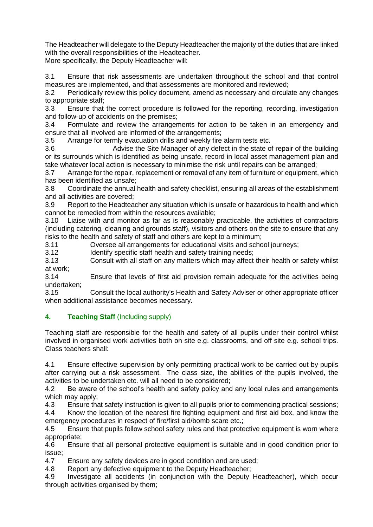The Headteacher will delegate to the Deputy Headteacher the majority of the duties that are linked with the overall responsibilities of the Headteacher. More specifically, the Deputy Headteacher will:

3.1 Ensure that risk assessments are undertaken throughout the school and that control measures are implemented, and that assessments are monitored and reviewed;

3.2 Periodically review this policy document, amend as necessary and circulate any changes to appropriate staff;

3.3 Ensure that the correct procedure is followed for the reporting, recording, investigation and follow-up of accidents on the premises;

3.4 Formulate and review the arrangements for action to be taken in an emergency and ensure that all involved are informed of the arrangements;

3.5 Arrange for termly evacuation drills and weekly fire alarm tests etc.

3.6 Advise the Site Manager of any defect in the state of repair of the building or its surrounds which is identified as being unsafe, record in local asset management plan and take whatever local action is necessary to minimise the risk until repairs can be arranged;

3.7 Arrange for the repair, replacement or removal of any item of furniture or equipment, which has been identified as unsafe;

3.8 Coordinate the annual health and safety checklist, ensuring all areas of the establishment and all activities are covered;

3.9 Report to the Headteacher any situation which is unsafe or hazardous to health and which cannot be remedied from within the resources available;

3.10 Liaise with and monitor as far as is reasonably practicable, the activities of contractors (including catering, cleaning and grounds staff), visitors and others on the site to ensure that any risks to the health and safety of staff and others are kept to a minimum;

3.11 Oversee all arrangements for educational visits and school journeys;

3.12 Identify specific staff health and safety training needs;

3.13 Consult with all staff on any matters which may affect their health or safety whilst at work;

3.14 Ensure that levels of first aid provision remain adequate for the activities being undertaken;

3.15 Consult the local authority's Health and Safety Adviser or other appropriate officer when additional assistance becomes necessary.

## **4. Teaching Staff** (Including supply)

Teaching staff are responsible for the health and safety of all pupils under their control whilst involved in organised work activities both on site e.g. classrooms, and off site e.g. school trips. Class teachers shall:

4.1 Ensure effective supervision by only permitting practical work to be carried out by pupils after carrying out a risk assessment. The class size, the abilities of the pupils involved, the activities to be undertaken etc. will all need to be considered;

4.2 Be aware of the school's health and safety policy and any local rules and arrangements which may apply;

4.3 Ensure that safety instruction is given to all pupils prior to commencing practical sessions;

4.4 Know the location of the nearest fire fighting equipment and first aid box, and know the emergency procedures in respect of fire/first aid/bomb scare etc.;

4.5 Ensure that pupils follow school safety rules and that protective equipment is worn where appropriate;

4.6 Ensure that all personal protective equipment is suitable and in good condition prior to issue;

4.7 Ensure any safety devices are in good condition and are used;

4.8 Report any defective equipment to the Deputy Headteacher;

4.9 Investigate all accidents (in conjunction with the Deputy Headteacher), which occur through activities organised by them;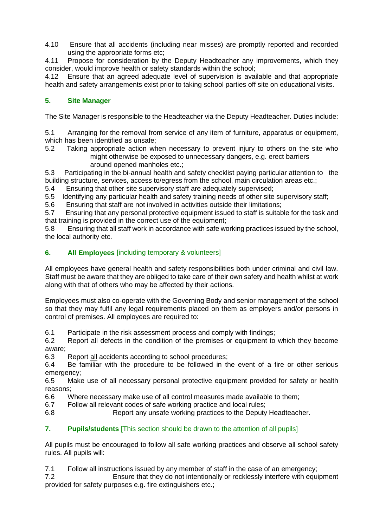4.10 Ensure that all accidents (including near misses) are promptly reported and recorded using the appropriate forms etc;

4.11 Propose for consideration by the Deputy Headteacher any improvements, which they consider, would improve health or safety standards within the school;

4.12 Ensure that an agreed adequate level of supervision is available and that appropriate health and safety arrangements exist prior to taking school parties off site on educational visits.

# **5. Site Manager**

The Site Manager is responsible to the Headteacher via the Deputy Headteacher. Duties include:

5.1 Arranging for the removal from service of any item of furniture, apparatus or equipment, which has been identified as unsafe;

5.2 Taking appropriate action when necessary to prevent injury to others on the site who might otherwise be exposed to unnecessary dangers, e.g. erect barriers around opened manholes etc.;

5.3 Participating in the bi-annual health and safety checklist paying particular attention to the building structure, services, access to/egress from the school, main circulation areas etc.;

5.4 Ensuring that other site supervisory staff are adequately supervised;

5.5 Identifying any particular health and safety training needs of other site supervisory staff;

5.6 Ensuring that staff are not involved in activities outside their limitations;

5.7 Ensuring that any personal protective equipment issued to staff is suitable for the task and that training is provided in the correct use of the equipment;

5.8 Ensuring that all staff work in accordance with safe working practices issued by the school, the local authority etc.

## **6. All Employees** [including temporary & volunteers]

All employees have general health and safety responsibilities both under criminal and civil law. Staff must be aware that they are obliged to take care of their own safety and health whilst at work along with that of others who may be affected by their actions.

Employees must also co-operate with the Governing Body and senior management of the school so that they may fulfil any legal requirements placed on them as employers and/or persons in control of premises. All employees are required to:

6.1 Participate in the risk assessment process and comply with findings;

6.2 Report all defects in the condition of the premises or equipment to which they become aware;

6.3 Report all accidents according to school procedures;

6.4 Be familiar with the procedure to be followed in the event of a fire or other serious emergency;

6.5 Make use of all necessary personal protective equipment provided for safety or health reasons;

6.6 Where necessary make use of all control measures made available to them;

6.7 Follow all relevant codes of safe working practice and local rules;

6.8 Report any unsafe working practices to the Deputy Headteacher.

## **7. Pupils/students** [This section should be drawn to the attention of all pupils]

All pupils must be encouraged to follow all safe working practices and observe all school safety rules. All pupils will:

7.1 Follow all instructions issued by any member of staff in the case of an emergency;

7.2 Ensure that they do not intentionally or recklessly interfere with equipment provided for safety purposes e.g. fire extinguishers etc.;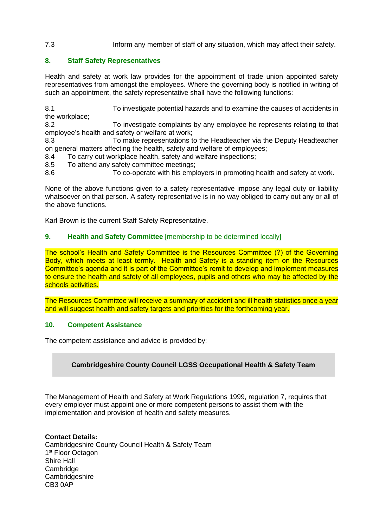## 7.3 Inform any member of staff of any situation, which may affect their safety.

## **8. Staff Safety Representatives**

Health and safety at work law provides for the appointment of trade union appointed safety representatives from amongst the employees. Where the governing body is notified in writing of such an appointment, the safety representative shall have the following functions:

8.1 To investigate potential hazards and to examine the causes of accidents in the workplace;

8.2 To investigate complaints by any employee he represents relating to that employee's health and safety or welfare at work;

8.3 To make representations to the Headteacher via the Deputy Headteacher on general matters affecting the health, safety and welfare of employees;

8.4 To carry out workplace health, safety and welfare inspections;

8.5 To attend any safety committee meetings;

8.6 To co-operate with his employers in promoting health and safety at work.

None of the above functions given to a safety representative impose any legal duty or liability whatsoever on that person. A safety representative is in no way obliged to carry out any or all of the above functions.

Karl Brown is the current Staff Safety Representative.

### **9. Health and Safety Committee** [membership to be determined locally]

The school's Health and Safety Committee is the Resources Committee (?) of the Governing Body, which meets at least termly. Health and Safety is a standing item on the Resources Committee's agenda and it is part of the Committee's remit to develop and implement measures to ensure the health and safety of all employees, pupils and others who may be affected by the schools activities.

The Resources Committee will receive a summary of accident and ill health statistics once a year and will suggest health and safety targets and priorities for the forthcoming year.

#### **10. Competent Assistance**

The competent assistance and advice is provided by:

#### **Cambridgeshire County Council LGSS Occupational Health & Safety Team**

The Management of Health and Safety at Work Regulations 1999, regulation 7, requires that every employer must appoint one or more competent persons to assist them with the implementation and provision of health and safety measures.

**Contact Details:** Cambridgeshire County Council Health & Safety Team 1<sup>st</sup> Floor Octagon Shire Hall Cambridge Cambridgeshire CB3 0AP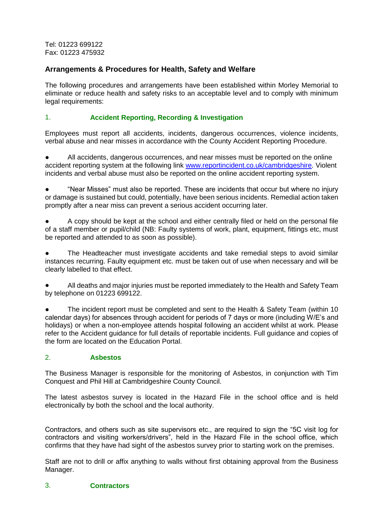Tel: 01223 699122 Fax: 01223 475932

# **Arrangements & Procedures for Health, Safety and Welfare**

The following procedures and arrangements have been established within Morley Memorial to eliminate or reduce health and safety risks to an acceptable level and to comply with minimum legal requirements:

## 1. **Accident Reporting, Recording & Investigation**

Employees must report all accidents, incidents, dangerous occurrences, violence incidents, verbal abuse and near misses in accordance with the County Accident Reporting Procedure.

All accidents, dangerous occurrences, and near misses must be reported on the online accident reporting system at the following link [www.reportincident.co.uk/cambridgeshire.](http://www.reportincident.co.uk/cambridgeshire) Violent incidents and verbal abuse must also be reported on the online accident reporting system.

● "Near Misses" must also be reported. These are incidents that occur but where no injury or damage is sustained but could, potentially, have been serious incidents. Remedial action taken promptly after a near miss can prevent a serious accident occurring later.

A copy should be kept at the school and either centrally filed or held on the personal file of a staff member or pupil/child (NB: Faulty systems of work, plant, equipment, fittings etc, must be reported and attended to as soon as possible).

The Headteacher must investigate accidents and take remedial steps to avoid similar instances recurring. Faulty equipment etc. must be taken out of use when necessary and will be clearly labelled to that effect.

All deaths and major injuries must be reported immediately to the Health and Safety Team by telephone on 01223 699122.

The incident report must be completed and sent to the Health & Safety Team (within 10) calendar days) for absences through accident for periods of 7 days or more (including W/E's and holidays) or when a non-employee attends hospital following an accident whilst at work. Please refer to the Accident guidance for full details of reportable incidents. Full guidance and copies of the form are located on the Education Portal.

## 2. **Asbestos**

The Business Manager is responsible for the monitoring of Asbestos, in conjunction with Tim Conquest and Phil Hill at Cambridgeshire County Council.

The latest asbestos survey is located in the Hazard File in the school office and is held electronically by both the school and the local authority.

Contractors, and others such as site supervisors etc., are required to sign the "5C visit log for contractors and visiting workers/drivers", held in the Hazard File in the school office, which confirms that they have had sight of the asbestos survey prior to starting work on the premises.

Staff are not to drill or affix anything to walls without first obtaining approval from the Business Manager.

#### 3. **Contractors**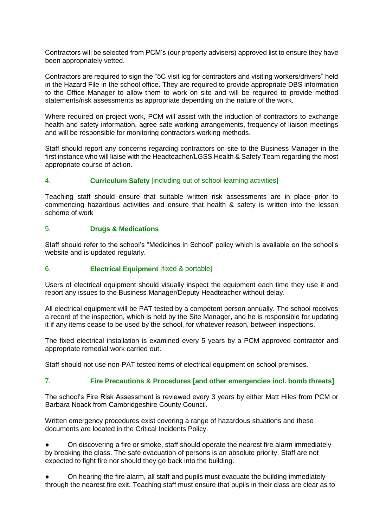Contractors will be selected from PCM's (our property advisers) approved list to ensure they have been appropriately vetted.

Contractors are required to sign the "5C visit log for contractors and visiting workers/drivers" held in the Hazard File in the school office. They are required to provide appropriate DBS information to the Office Manager to allow them to work on site and will be required to provide method statements/risk assessments as appropriate depending on the nature of the work.

Where required on project work, PCM will assist with the induction of contractors to exchange health and safety information, agree safe working arrangements, frequency of liaison meetings and will be responsible for monitoring contractors working methods.

Staff should report any concerns regarding contractors on site to the Business Manager in the first instance who will liaise with the Headteacher/LGSS Health & Safety Team regarding the most appropriate course of action.

## 4. **Curriculum Safety** [including out of school learning activities]

Teaching staff should ensure that suitable written risk assessments are in place prior to commencing hazardous activities and ensure that health & safety is written into the lesson scheme of work

#### 5. **Drugs & Medications**

Staff should refer to the school's "Medicines in School" policy which is available on the school's website and is updated regularly.

#### 6. **Electrical Equipment** [fixed & portable]

Users of electrical equipment should visually inspect the equipment each time they use it and report any issues to the Business Manager/Deputy Headteacher without delay.

All electrical equipment will be PAT tested by a competent person annually. The school receives a record of the inspection, which is held by the Site Manager, and he is responsible for updating it if any items cease to be used by the school, for whatever reason, between inspections.

The fixed electrical installation is examined every 5 years by a PCM approved contractor and appropriate remedial work carried out.

Staff should not use non-PAT tested items of electrical equipment on school premises.

## 7. **Fire Precautions & Procedures [and other emergencies incl. bomb threats]**

The school's Fire Risk Assessment is reviewed every 3 years by either Matt Hiles from PCM or Barbara Noack from Cambridgeshire County Council.

Written emergency procedures exist covering a range of hazardous situations and these documents are located in the Critical Incidents Policy.

On discovering a fire or smoke, staff should operate the nearest fire alarm immediately by breaking the glass. The safe evacuation of persons is an absolute priority. Staff are not expected to fight fire nor should they go back into the building.

On hearing the fire alarm, all staff and pupils must evacuate the building immediately through the nearest fire exit. Teaching staff must ensure that pupils in their class are clear as to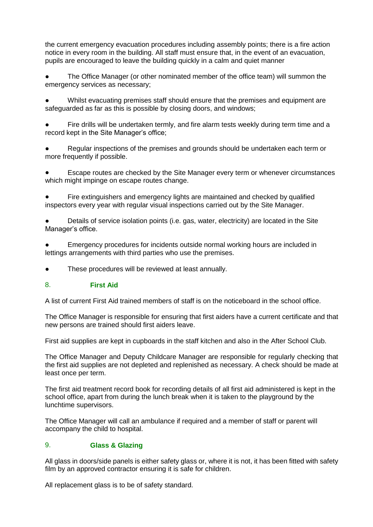the current emergency evacuation procedures including assembly points; there is a fire action notice in every room in the building. All staff must ensure that, in the event of an evacuation, pupils are encouraged to leave the building quickly in a calm and quiet manner

The Office Manager (or other nominated member of the office team) will summon the emergency services as necessary;

Whilst evacuating premises staff should ensure that the premises and equipment are safeguarded as far as this is possible by closing doors, and windows;

Fire drills will be undertaken termly, and fire alarm tests weekly during term time and a record kept in the Site Manager's office;

Regular inspections of the premises and grounds should be undertaken each term or more frequently if possible.

Escape routes are checked by the Site Manager every term or whenever circumstances which might impinge on escape routes change.

Fire extinguishers and emergency lights are maintained and checked by qualified inspectors every year with regular visual inspections carried out by the Site Manager.

Details of service isolation points (i.e. gas, water, electricity) are located in the Site Manager's office.

Emergency procedures for incidents outside normal working hours are included in lettings arrangements with third parties who use the premises.

These procedures will be reviewed at least annually.

#### 8. **First Aid**

A list of current First Aid trained members of staff is on the noticeboard in the school office.

The Office Manager is responsible for ensuring that first aiders have a current certificate and that new persons are trained should first aiders leave.

First aid supplies are kept in cupboards in the staff kitchen and also in the After School Club.

The Office Manager and Deputy Childcare Manager are responsible for regularly checking that the first aid supplies are not depleted and replenished as necessary. A check should be made at least once per term.

The first aid treatment record book for recording details of all first aid administered is kept in the school office, apart from during the lunch break when it is taken to the playground by the lunchtime supervisors.

The Office Manager will call an ambulance if required and a member of staff or parent will accompany the child to hospital.

## 9. **Glass & Glazing**

All glass in doors/side panels is either safety glass or, where it is not, it has been fitted with safety film by an approved contractor ensuring it is safe for children.

All replacement glass is to be of safety standard.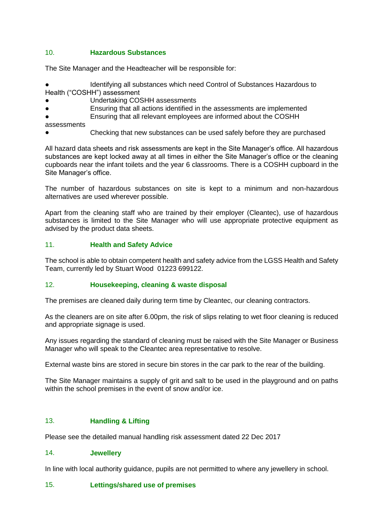## 10. **Hazardous Substances**

The Site Manager and the Headteacher will be responsible for:

Identifying all substances which need Control of Substances Hazardous to Health ("COSHH") assessment

Undertaking COSHH assessments

Ensuring that all actions identified in the assessments are implemented

Ensuring that all relevant employees are informed about the COSHH

assessments

Checking that new substances can be used safely before they are purchased

All hazard data sheets and risk assessments are kept in the Site Manager's office. All hazardous substances are kept locked away at all times in either the Site Manager's office or the cleaning cupboards near the infant toilets and the year 6 classrooms. There is a COSHH cupboard in the Site Manager's office.

The number of hazardous substances on site is kept to a minimum and non-hazardous alternatives are used wherever possible.

Apart from the cleaning staff who are trained by their employer (Cleantec), use of hazardous substances is limited to the Site Manager who will use appropriate protective equipment as advised by the product data sheets.

### 11. **Health and Safety Advice**

The school is able to obtain competent health and safety advice from the LGSS Health and Safety Team, currently led by Stuart Wood 01223 699122.

#### 12. **Housekeeping, cleaning & waste disposal**

The premises are cleaned daily during term time by Cleantec, our cleaning contractors.

As the cleaners are on site after 6.00pm, the risk of slips relating to wet floor cleaning is reduced and appropriate signage is used.

Any issues regarding the standard of cleaning must be raised with the Site Manager or Business Manager who will speak to the Cleantec area representative to resolve.

External waste bins are stored in secure bin stores in the car park to the rear of the building.

The Site Manager maintains a supply of grit and salt to be used in the playground and on paths within the school premises in the event of snow and/or ice.

#### 13. **Handling & Lifting**

Please see the detailed manual handling risk assessment dated 22 Dec 2017

#### 14. **Jewellery**

In line with local authority guidance, pupils are not permitted to where any jewellery in school.

#### 15. **Lettings/shared use of premises**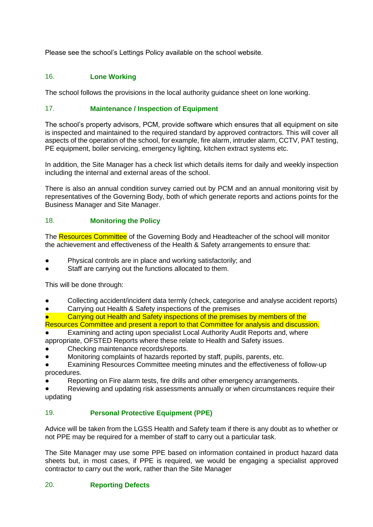Please see the school's Lettings Policy available on the school website.

# 16. **Lone Working**

The school follows the provisions in the local authority guidance sheet on lone working.

## 17. **Maintenance / Inspection of Equipment**

The school's property advisors, PCM, provide software which ensures that all equipment on site is inspected and maintained to the required standard by approved contractors. This will cover all aspects of the operation of the school, for example, fire alarm, intruder alarm, CCTV, PAT testing, PE equipment, boiler servicing, emergency lighting, kitchen extract systems etc.

In addition, the Site Manager has a check list which details items for daily and weekly inspection including the internal and external areas of the school.

There is also an annual condition survey carried out by PCM and an annual monitoring visit by representatives of the Governing Body, both of which generate reports and actions points for the Business Manager and Site Manager.

## 18. **Monitoring the Policy**

The Resources Committee of the Governing Body and Headteacher of the school will monitor the achievement and effectiveness of the Health & Safety arrangements to ensure that:

- Physical controls are in place and working satisfactorily; and
- Staff are carrying out the functions allocated to them.

This will be done through:

- Collecting accident/incident data termly (check, categorise and analyse accident reports)
- Carrying out Health & Safety inspections of the premises
- Carrying out Health and Safety inspections of the premises by members of the Resources Committee and present a report to that Committee for analysis and discussion.
- Examining and acting upon specialist Local Authority Audit Reports and, where appropriate, OFSTED Reports where these relate to Health and Safety issues.
- Checking maintenance records/reports.
- Monitoring complaints of hazards reported by staff, pupils, parents, etc.
- Examining Resources Committee meeting minutes and the effectiveness of follow-up procedures.
- Reporting on Fire alarm tests, fire drills and other emergency arrangements.

Reviewing and updating risk assessments annually or when circumstances require their updating

## 19. **Personal Protective Equipment (PPE)**

Advice will be taken from the LGSS Health and Safety team if there is any doubt as to whether or not PPE may be required for a member of staff to carry out a particular task.

The Site Manager may use some PPE based on information contained in product hazard data sheets but, in most cases, if PPE is required, we would be engaging a specialist approved contractor to carry out the work, rather than the Site Manager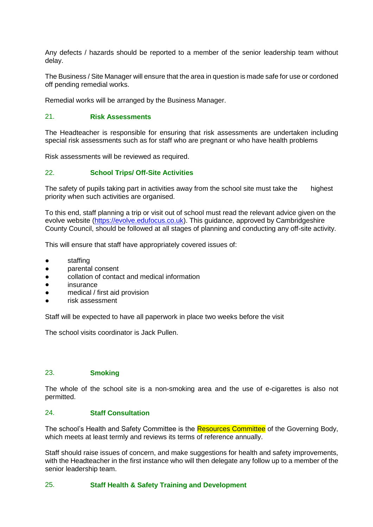Any defects / hazards should be reported to a member of the senior leadership team without delay.

The Business / Site Manager will ensure that the area in question is made safe for use or cordoned off pending remedial works.

Remedial works will be arranged by the Business Manager.

## 21. **Risk Assessments**

The Headteacher is responsible for ensuring that risk assessments are undertaken including special risk assessments such as for staff who are pregnant or who have health problems

Risk assessments will be reviewed as required.

#### 22. **School Trips/ Off-Site Activities**

The safety of pupils taking part in activities away from the school site must take the highest priority when such activities are organised.

To this end, staff planning a trip or visit out of school must read the relevant advice given on the evolve website [\(https://evolve.edufocus.co.uk\)](https://evolve.edufocus.co.uk/). This guidance, approved by Cambridgeshire County Council, should be followed at all stages of planning and conducting any off-site activity.

This will ensure that staff have appropriately covered issues of:

- staffing
- parental consent
- collation of contact and medical information
- insurance
- medical / first aid provision
- risk assessment

Staff will be expected to have all paperwork in place two weeks before the visit

The school visits coordinator is Jack Pullen.

#### 23. **Smoking**

The whole of the school site is a non-smoking area and the use of e-cigarettes is also not permitted.

#### 24. **Staff Consultation**

The school's Health and Safety Committee is the Resources Committee of the Governing Body, which meets at least termly and reviews its terms of reference annually.

Staff should raise issues of concern, and make suggestions for health and safety improvements, with the Headteacher in the first instance who will then delegate any follow up to a member of the senior leadership team.

#### 25. **Staff Health & Safety Training and Development**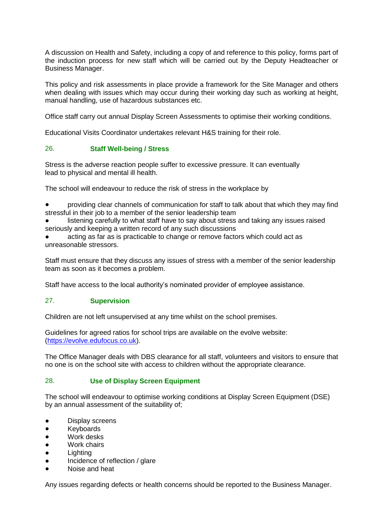A discussion on Health and Safety, including a copy of and reference to this policy, forms part of the induction process for new staff which will be carried out by the Deputy Headteacher or Business Manager.

This policy and risk assessments in place provide a framework for the Site Manager and others when dealing with issues which may occur during their working day such as working at height, manual handling, use of hazardous substances etc.

Office staff carry out annual Display Screen Assessments to optimise their working conditions.

Educational Visits Coordinator undertakes relevant H&S training for their role.

## 26. **Staff Well-being / Stress**

Stress is the adverse reaction people suffer to excessive pressure. It can eventually lead to physical and mental ill health.

The school will endeavour to reduce the risk of stress in the workplace by

- providing clear channels of communication for staff to talk about that which they may find stressful in their job to a member of the senior leadership team
- listening carefully to what staff have to say about stress and taking any issues raised seriously and keeping a written record of any such discussions
- acting as far as is practicable to change or remove factors which could act as unreasonable stressors.

Staff must ensure that they discuss any issues of stress with a member of the senior leadership team as soon as it becomes a problem.

Staff have access to the local authority's nominated provider of employee assistance.

#### 27. **Supervision**

Children are not left unsupervised at any time whilst on the school premises.

Guidelines for agreed ratios for school trips are available on the evolve website: [\(https://evolve.edufocus.co.uk\)](https://evolve.edufocus.co.uk/).

The Office Manager deals with DBS clearance for all staff, volunteers and visitors to ensure that no one is on the school site with access to children without the appropriate clearance.

#### 28. **Use of Display Screen Equipment**

The school will endeavour to optimise working conditions at Display Screen Equipment (DSE) by an annual assessment of the suitability of;

- Display screens
- Keyboards
- Work desks
- Work chairs
- Lighting
- Incidence of reflection / glare
- Noise and heat

Any issues regarding defects or health concerns should be reported to the Business Manager.